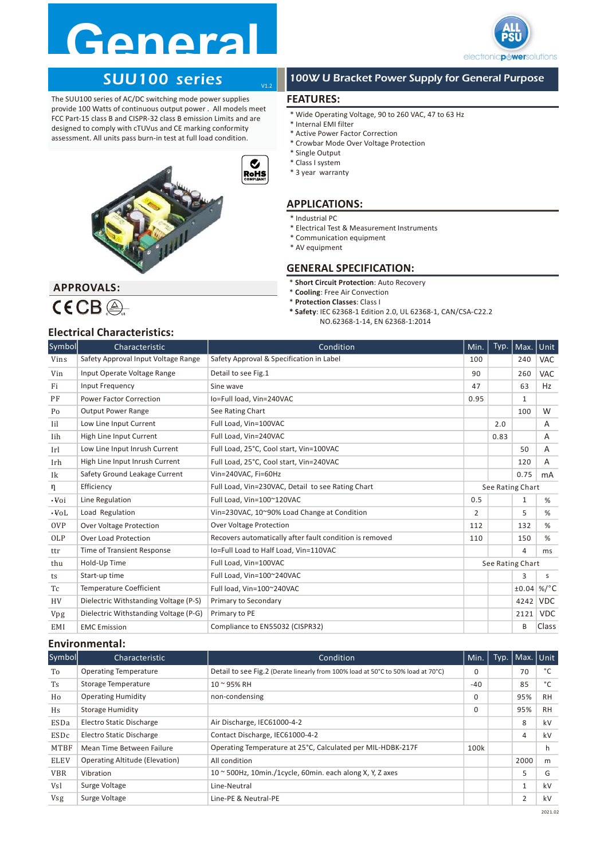# **Genera**



## SUU100 series



### 100W U Bracket Power Supply for General Purpose

### FEATURES:

V1.2

- \* Wide Operating Voltage, 90 to 260 VAC, 47 to 63 Hz
- \* Internal EMI filter
- \* Active Power Factor Correction
- \* Crowbar Mode Over Voltage Protection
- \* Single Output
- \* Class I system
- \* 3 year warranty

### APPLICATIONS:

- \* Industrial PC
- \* Electrical Test & Measurement Instruments
- \* Communication equipment
- \* AV equipment

### GENERAL SPECIFICATION:

- \* Short Circuit Protection: Auto Recovery
- \* Cooling: Free Air Convection
- \* Protection Classes: Class I
- \* Safety: IEC 62368-1 Edition 2.0, UL 62368-1, CAN/CSA-C22.2 NO.62368-1-14, EN 62368-1:2014

## APPROVALS:

### Electrical Characteristics:

|             | The SUU100 series of AC/DC switching mode power supplies                                                                                                                                                                                                         |                                          | <b>FEATURES:</b>                                                                                                                                                               |                |                  |      |              |  |  |  |
|-------------|------------------------------------------------------------------------------------------------------------------------------------------------------------------------------------------------------------------------------------------------------------------|------------------------------------------|--------------------------------------------------------------------------------------------------------------------------------------------------------------------------------|----------------|------------------|------|--------------|--|--|--|
|             | provide 100 Watts of continuous output power. All models meet<br>FCC Part-15 class B and CISPR-32 class B emission Limits and are<br>designed to comply with cTUVus and CE marking conformity<br>assessment. All units pass burn-in test at full load condition. |                                          | * Wide Operating Voltage, 90 to 260 VAC, 47 to 63 Hz<br>* Internal EMI filter<br>* Active Power Factor Correction<br>* Crowbar Mode Over Voltage Protection<br>* Single Output |                |                  |      |              |  |  |  |
|             |                                                                                                                                                                                                                                                                  | $\boldsymbol{c}$<br><b>RoHS</b>          | * Class I system<br>* 3 year warranty                                                                                                                                          |                |                  |      |              |  |  |  |
|             |                                                                                                                                                                                                                                                                  |                                          | <b>APPLICATIONS:</b><br>* Industrial PC<br>* Electrical Test & Measurement Instruments<br>* Communication equipment<br>* AV equipment<br><b>GENERAL SPECIFICATION:</b>         |                |                  |      |              |  |  |  |
|             | <b>APPROVALS:</b>                                                                                                                                                                                                                                                |                                          | * Short Circuit Protection: Auto Recovery                                                                                                                                      |                |                  |      |              |  |  |  |
|             | $\mathsf{CECB} \circledcirc$<br><b>Electrical Characteristics:</b>                                                                                                                                                                                               |                                          | * Cooling: Free Air Convection<br>* Protection Classes: Class I<br>* Safety: IEC 62368-1 Edition 2.0, UL 62368-1, CAN/CSA-C22.2<br>NO.62368-1-14, EN 62368-1:2014              |                |                  |      |              |  |  |  |
| Symbol      | Characteristic                                                                                                                                                                                                                                                   |                                          | Condition                                                                                                                                                                      | Min.           | Typ.             | Max. | Unit         |  |  |  |
| Vins        | Safety Approval Input Voltage Range                                                                                                                                                                                                                              | Safety Approval & Specification in Label |                                                                                                                                                                                | 100            |                  | 240  | VAC          |  |  |  |
| Vin         | Input Operate Voltage Range                                                                                                                                                                                                                                      | Detail to see Fig.1                      |                                                                                                                                                                                | 90             |                  | 260  | <b>VAC</b>   |  |  |  |
| Fi          | Input Frequency                                                                                                                                                                                                                                                  | Sine wave                                |                                                                                                                                                                                | 47             |                  | 63   | Hz           |  |  |  |
| PF          | <b>Power Factor Correction</b>                                                                                                                                                                                                                                   | Io=Full load, Vin=240VAC                 |                                                                                                                                                                                | 0.95           |                  | 1    |              |  |  |  |
| Po          | <b>Output Power Range</b>                                                                                                                                                                                                                                        | See Rating Chart                         |                                                                                                                                                                                |                |                  | 100  | W            |  |  |  |
| Iil         | Low Line Input Current                                                                                                                                                                                                                                           | Full Load, Vin=100VAC                    |                                                                                                                                                                                |                | 2.0              |      | Α            |  |  |  |
| Iih         | High Line Input Current                                                                                                                                                                                                                                          | Full Load, Vin=240VAC                    |                                                                                                                                                                                |                | 0.83             |      | A            |  |  |  |
| Irl         | Low Line Input Inrush Current                                                                                                                                                                                                                                    | Full Load, 25°C, Cool start, Vin=100VAC  |                                                                                                                                                                                |                |                  | 50   | A            |  |  |  |
| Irh         | High Line Input Inrush Current                                                                                                                                                                                                                                   | Full Load, 25°C, Cool start, Vin=240VAC  |                                                                                                                                                                                |                |                  | 120  | A            |  |  |  |
| Ik          | Safety Ground Leakage Current                                                                                                                                                                                                                                    | Vin=240VAC, Fi=60Hz                      |                                                                                                                                                                                |                |                  | 0.75 | mA           |  |  |  |
| η           | Efficiency                                                                                                                                                                                                                                                       |                                          | Full Load, Vin=230VAC, Detail to see Rating Chart                                                                                                                              |                | See Rating Chart |      |              |  |  |  |
| $\cdot$ Voi | Line Regulation                                                                                                                                                                                                                                                  | Full Load, Vin=100~120VAC                |                                                                                                                                                                                | 0.5            |                  | 1    | %            |  |  |  |
| $\cdot$ Vol | Load Regulation                                                                                                                                                                                                                                                  |                                          | Vin=230VAC, 10~90% Load Change at Condition                                                                                                                                    | $\overline{2}$ |                  | 5    | $\%$         |  |  |  |
| 0VP         | Over Voltage Protection                                                                                                                                                                                                                                          | Over Voltage Protection                  |                                                                                                                                                                                | 112            |                  | 132  | $\%$         |  |  |  |
| OLP         | <b>Over Load Protection</b>                                                                                                                                                                                                                                      |                                          | Recovers automatically after fault condition is removed                                                                                                                        | 110            |                  | 150  | %            |  |  |  |
| ttr         | Time of Transient Response                                                                                                                                                                                                                                       | Io=Full Load to Half Load, Vin=110VAC    |                                                                                                                                                                                |                |                  | 4    | ms           |  |  |  |
| thu         | Hold-Up Time                                                                                                                                                                                                                                                     | Full Load, Vin=100VAC                    |                                                                                                                                                                                |                | See Rating Chart |      |              |  |  |  |
| ts          | Start-up time                                                                                                                                                                                                                                                    | Full Load, Vin=100~240VAC                |                                                                                                                                                                                |                |                  | 3    | S            |  |  |  |
| Tc          | Temperature Coefficient                                                                                                                                                                                                                                          | Full load, Vin=100~240VAC                |                                                                                                                                                                                |                |                  |      | $±0.04$ %/°C |  |  |  |
| HV          | Dielectric Withstanding Voltage (P-S)                                                                                                                                                                                                                            | Primary to Secondary                     |                                                                                                                                                                                |                |                  |      | 4242 VDC     |  |  |  |
| Vpg         | Dielectric Withstanding Voltage (P-G)                                                                                                                                                                                                                            | Primary to PE                            |                                                                                                                                                                                |                |                  | 2121 | $ $ VDC      |  |  |  |
| EMI         | <b>EMC</b> Emission                                                                                                                                                                                                                                              | Compliance to EN55032 (CISPR32)          |                                                                                                                                                                                |                |                  | B    | Class        |  |  |  |
|             | <b>Environmental:</b>                                                                                                                                                                                                                                            |                                          |                                                                                                                                                                                |                |                  |      |              |  |  |  |
| Symbol      | Characteristic                                                                                                                                                                                                                                                   |                                          | Condition                                                                                                                                                                      | Min.           | Typ.             | Max. | Unit         |  |  |  |
| To          | <b>Operating Temperature</b>                                                                                                                                                                                                                                     |                                          | Detail to see Fig.2 (Derate linearly from 100% load at 50°C to 50% load at 70°C)                                                                                               | 0              |                  | 70   | $^{\circ}$ C |  |  |  |
| Ts          | Storage Temperature                                                                                                                                                                                                                                              | 10~95% RH                                |                                                                                                                                                                                | -40            |                  |      | $^{\circ}$ C |  |  |  |
|             | <b>Operating Humidity</b>                                                                                                                                                                                                                                        | non-condensing                           |                                                                                                                                                                                | 0              |                  | 85   |              |  |  |  |
| Ho          |                                                                                                                                                                                                                                                                  |                                          |                                                                                                                                                                                |                |                  | 95%  | RH           |  |  |  |
| Hs          | <b>Storage Humidity</b>                                                                                                                                                                                                                                          |                                          |                                                                                                                                                                                | 0              |                  | 95%  | RH           |  |  |  |
| ESDa        | Electro Static Discharge                                                                                                                                                                                                                                         | Air Discharge, IEC61000-4-2              |                                                                                                                                                                                |                |                  | 8    | kV           |  |  |  |

### Environmental:

| Symbol      | Characteristic                        | Condition                                                                        | Min.  | Typ. | Max. Unit |    |
|-------------|---------------------------------------|----------------------------------------------------------------------------------|-------|------|-----------|----|
| To          | <b>Operating Temperature</b>          | Detail to see Fig.2 (Derate linearly from 100% load at 50°C to 50% load at 70°C) | 0     |      | 70        |    |
| Ts          | Storage Temperature                   | 10 ~ 95% RH                                                                      | $-40$ |      | 85        | v. |
| Ho          | <b>Operating Humidity</b>             | non-condensing                                                                   | 0     |      | 95%       | RH |
| Hs          | <b>Storage Humidity</b>               |                                                                                  | 0     |      | 95%       | RH |
| ESDa        | <b>Electro Static Discharge</b>       | Air Discharge, IEC61000-4-2                                                      |       |      | 8         | kV |
| ESDc        | <b>Electro Static Discharge</b>       | Contact Discharge, IEC61000-4-2                                                  |       |      |           | kV |
| MTBF        | Mean Time Between Failure             | Operating Temperature at 25°C, Calculated per MIL-HDBK-217F                      | 100k  |      |           |    |
| <b>ELEV</b> | <b>Operating Altitude (Elevation)</b> | All condition                                                                    |       |      | 2000      | m  |
| <b>VBR</b>  | Vibration                             | $10 \approx 500$ Hz, 10min./1cycle, 60min. each along X, Y, Z axes               |       |      |           | G. |
| Vsl         | Surge Voltage                         | Line-Neutral                                                                     |       |      |           | kV |
| <b>Vsg</b>  | Surge Voltage                         | Line-PE & Neutral-PE                                                             |       |      |           | kV |